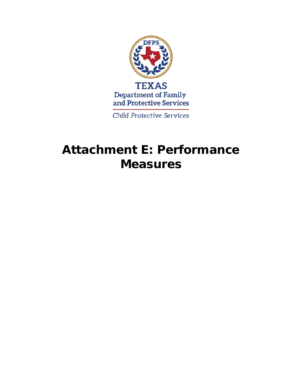

**Child Protective Services** 

# **Attachment E: Performance Measures**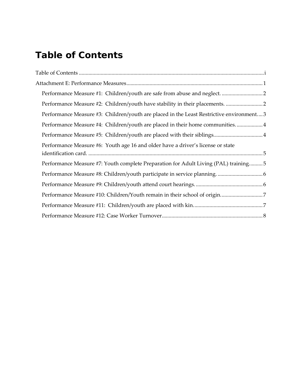## <span id="page-1-0"></span>**Table of Contents**

| Performance Measure #3: Children/youth are placed in the Least Restrictive environment3 |  |
|-----------------------------------------------------------------------------------------|--|
| Performance Measure #4: Children/youth are placed in their home communities4            |  |
|                                                                                         |  |
| Performance Measure #6: Youth age 16 and older have a driver's license or state         |  |
| Performance Measure #7: Youth complete Preparation for Adult Living (PAL) training5     |  |
|                                                                                         |  |
|                                                                                         |  |
|                                                                                         |  |
|                                                                                         |  |
|                                                                                         |  |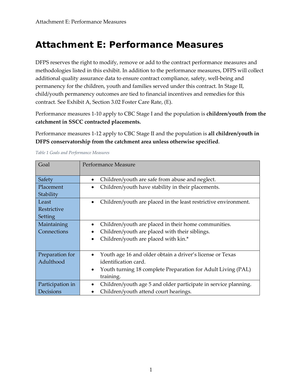### <span id="page-2-0"></span>**Attachment E: Performance Measures**

DFPS reserves the right to modify, remove or add to the contract performance measures and methodologies listed in this exhibit. In addition to the performance measures, DFPS will collect additional quality assurance data to ensure contract compliance, safety, well-being and permanency for the children, youth and families served under this contract. In Stage II, child/youth permanency outcomes are tied to financial incentives and remedies for this contract. See Exhibit A, Section 3.02 Foster Care Rate, (E).

Performance measures 1-10 apply to CBC Stage I and the population is **children/youth from the catchment in SSCC contracted placements.** 

Performance measures 1-12 apply to CBC Stage II and the population is **all children/youth in DFPS conservatorship from the catchment area unless otherwise specified**.

| Goal             | Performance Measure                                                       |
|------------------|---------------------------------------------------------------------------|
|                  |                                                                           |
| Safety           | Children/youth are safe from abuse and neglect.                           |
| Placement        | Children/youth have stability in their placements.                        |
| Stability        |                                                                           |
| Least            | Children/youth are placed in the least restrictive environment.           |
| Restrictive      |                                                                           |
| Setting          |                                                                           |
| Maintaining      | Children/youth are placed in their home communities.                      |
| Connections      | Children/youth are placed with their siblings.                            |
|                  | Children/youth are placed with kin.*<br>$\bullet$                         |
|                  |                                                                           |
| Preparation for  | Youth age 16 and older obtain a driver's license or Texas                 |
| Adulthood        | identification card.                                                      |
|                  | Youth turning 18 complete Preparation for Adult Living (PAL)<br>$\bullet$ |
|                  | training.                                                                 |
| Participation in | Children/youth age 5 and older participate in service planning.           |
| Decisions        | Children/youth attend court hearings.                                     |

#### *Table 1 Goals and Performance Measures*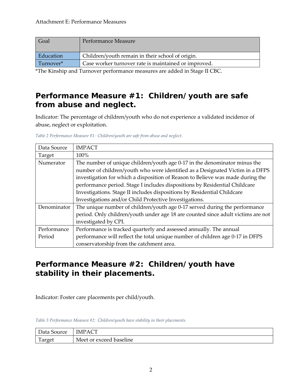| Goal      | Performance Measure                                  |
|-----------|------------------------------------------------------|
| Education | Children/youth remain in their school of origin.     |
| Turnover* | Case worker turnover rate is maintained or improved. |

\*The Kinship and Turnover performance measures are added in Stage II CBC.

#### <span id="page-3-0"></span>**Performance Measure #1: Children/youth are safe from abuse and neglect.**

Indicator: The percentage of children/youth who do not experience a validated incidence of abuse, neglect or exploitation.

| Data Source | <b>IMPACT</b>                                                                    |
|-------------|----------------------------------------------------------------------------------|
| Target      | 100%                                                                             |
| Numerator   | The number of unique children/youth age 0-17 in the denominator minus the        |
|             | number of children/youth who were identified as a Designated Victim in a DFPS    |
|             | investigation for which a disposition of Reason to Believe was made during the   |
|             | performance period. Stage I includes dispositions by Residential Childcare       |
|             | Investigations. Stage II includes dispositions by Residential Childcare          |
|             | Investigations and/or Child Protective Investigations.                           |
| Denominator | The unique number of children/youth age 0-17 served during the performance       |
|             | period. Only children/youth under age 18 are counted since adult victims are not |
|             | investigated by CPI.                                                             |
| Performance | Performance is tracked quarterly and assessed annually. The annual               |
| Period      | performance will reflect the total unique number of children age 0-17 in DFPS    |
|             | conservatorship from the catchment area.                                         |

*Table 2 Performance Measure #1: Children/youth are safe from abuse and neglect.*

#### <span id="page-3-1"></span>**Performance Measure #2: Children/youth have stability in their placements.**

Indicator: Foster care placements per child/youth.

*Table 3 Performance Measure #2: Children/youth have stability in their placements.*

| Data Source | IMPAC                   |
|-------------|-------------------------|
| Ē<br>Target | Meet or exceed baseline |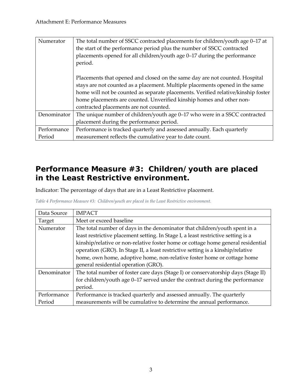| Numerator   | The total number of SSCC contracted placements for children/youth age 0–17 at<br>the start of the performance period plus the number of SSCC contracted<br>placements opened for all children/youth age 0-17 during the performance<br>period. |
|-------------|------------------------------------------------------------------------------------------------------------------------------------------------------------------------------------------------------------------------------------------------|
|             | Placements that opened and closed on the same day are not counted. Hospital<br>stays are not counted as a placement. Multiple placements opened in the same                                                                                    |
|             | home will not be counted as separate placements. Verified relative/kinship foster                                                                                                                                                              |
|             | home placements are counted. Unverified kinship homes and other non-                                                                                                                                                                           |
|             | contracted placements are not counted.                                                                                                                                                                                                         |
| Denominator | The unique number of children/youth age 0–17 who were in a SSCC contracted                                                                                                                                                                     |
|             | placement during the performance period.                                                                                                                                                                                                       |
| Performance | Performance is tracked quarterly and assessed annually. Each quarterly                                                                                                                                                                         |
| Period      | measurement reflects the cumulative year to date count.                                                                                                                                                                                        |

#### <span id="page-4-0"></span>**Performance Measure #3: Children/youth are placed in the Least Restrictive environment.**

Indicator: The percentage of days that are in a Least Restrictive placement.

| Table 4 Performance Measure #3: Children/youth are placed in the Least Restrictive environment. |
|-------------------------------------------------------------------------------------------------|
|-------------------------------------------------------------------------------------------------|

<span id="page-4-1"></span>

| Data Source | <b>IMPACT</b>                                                                     |
|-------------|-----------------------------------------------------------------------------------|
| Target      | Meet or exceed baseline                                                           |
| Numerator   | The total number of days in the denominator that children/youth spent in a        |
|             | least restrictive placement setting. In Stage I, a least restrictive setting is a |
|             | kinship/relative or non-relative foster home or cottage home general residential  |
|             | operation (GRO). In Stage II, a least restrictive setting is a kinship/relative   |
|             | home, own home, adoptive home, non-relative foster home or cottage home           |
|             | general residential operation (GRO).                                              |
| Denominator | The total number of foster care days (Stage I) or conservatorship days (Stage II) |
|             | for children/youth age 0-17 served under the contract during the performance      |
|             | period.                                                                           |
| Performance | Performance is tracked quarterly and assessed annually. The quarterly             |
| Period      | measurements will be cumulative to determine the annual performance.              |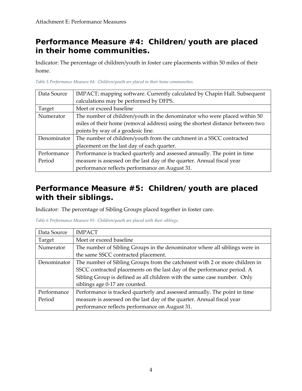#### **Performance Measure #4: Children/youth are placed in their home communities.**

Indicator: The percentage of children/youth in foster care placements within 50 miles of their home.

| Data Source | IMPACT; mapping software. Currently calculated by Chapin Hall. Subsequent     |
|-------------|-------------------------------------------------------------------------------|
|             | calculations may be performed by DFPS.                                        |
| Target      | Meet or exceed baseline                                                       |
| Numerator   | The number of children/youth in the denominator who were placed within 50     |
|             | miles of their home (removal address) using the shortest distance between two |
|             | points by way of a geodesic line.                                             |
| Denominator | The number of children/youth from the catchment in a SSCC contracted          |
|             | placement on the last day of each quarter.                                    |
| Performance | Performance is tracked quarterly and assessed annually. The point in time     |
| Period      | measure is assessed on the last day of the quarter. Annual fiscal year        |
|             | performance reflects performance on August 31.                                |

*Table 5 Performance Measure #4: Children/youth are placed in their home communities.*

#### <span id="page-5-0"></span>**Performance Measure #5: Children/youth are placed with their siblings.**

Indicator: The percentage of Sibling Groups placed together in foster care.

| Data Source | <b>IMPACT</b>                                                              |
|-------------|----------------------------------------------------------------------------|
| Target      | Meet or exceed baseline                                                    |
| Numerator   | The number of Sibling Groups in the denominator where all siblings were in |
|             | the same SSCC contracted placement.                                        |
| Denominator | The number of Sibling Groups from the catchment with 2 or more children in |
|             | SSCC contracted placements on the last day of the performance period. A    |
|             | Sibling Group is defined as all children with the same case number. Only   |
|             | siblings age 0-17 are counted.                                             |
| Performance | Performance is tracked quarterly and assessed annually. The point in time  |
| Period      | measure is assessed on the last day of the quarter. Annual fiscal year     |
|             | performance reflects performance on August 31.                             |

*Table 6 Performance Measure #5: Children/youth are placed with their siblings.*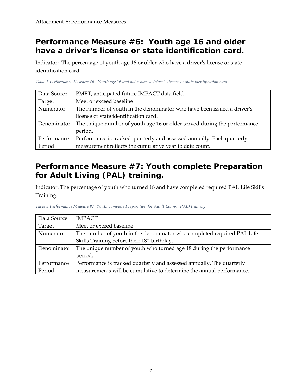#### <span id="page-6-0"></span>**Performance Measure #6: Youth age 16 and older have a driver's license or state identification card.**

Indicator: The percentage of youth age 16 or older who have a driver's license or state identification card.

*Table 7 Performance Measure #6: Youth age 16 and older have a driver's license or state identification card.*

| Data Source | PMET, anticipated future IMPACT data field                               |
|-------------|--------------------------------------------------------------------------|
| Target      | Meet or exceed baseline                                                  |
| Numerator   | The number of youth in the denominator who have been issued a driver's   |
|             | license or state identification card.                                    |
| Denominator | The unique number of youth age 16 or older served during the performance |
|             | period.                                                                  |
| Performance | Performance is tracked quarterly and assessed annually. Each quarterly   |
| Period      | measurement reflects the cumulative year to date count.                  |

### <span id="page-6-1"></span>**Performance Measure #7: Youth complete Preparation for Adult Living (PAL) training.**

Indicator: The percentage of youth who turned 18 and have completed required PAL Life Skills Training.

*Table 8 Performance Measure #7: Youth complete Preparation for Adult Living (PAL) training.*

<span id="page-6-2"></span>

| Data Source | <b>IMPACT</b>                                                          |
|-------------|------------------------------------------------------------------------|
| Target      | Meet or exceed baseline                                                |
| Numerator   | The number of youth in the denominator who completed required PAL Life |
|             | Skills Training before their 18th birthday.                            |
| Denominator | The unique number of youth who turned age 18 during the performance    |
|             | period.                                                                |
| Performance | Performance is tracked quarterly and assessed annually. The quarterly  |
| Period      | measurements will be cumulative to determine the annual performance.   |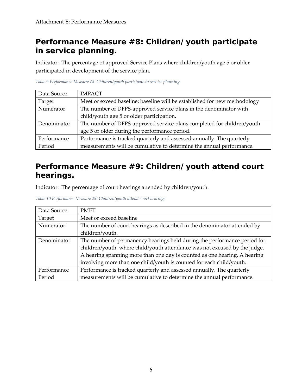#### **Performance Measure #8: Children/youth participate in service planning.**

Indicator: The percentage of approved Service Plans where children/youth age 5 or older participated in development of the service plan.

| Data Source | <b>IMPACT</b>                                                             |
|-------------|---------------------------------------------------------------------------|
| Target      | Meet or exceed baseline; baseline will be established for new methodology |
| Numerator   | The number of DFPS-approved service plans in the denominator with         |
|             | child/youth age 5 or older participation.                                 |
| Denominator | The number of DFPS-approved service plans completed for children/youth    |
|             | age 5 or older during the performance period.                             |
| Performance | Performance is tracked quarterly and assessed annually. The quarterly     |
| Period      | measurements will be cumulative to determine the annual performance.      |

*Table 9 Performance Measure #8: Children/youth participate in service planning.*

#### <span id="page-7-0"></span>**Performance Measure #9: Children/youth attend court hearings.**

Indicator: The percentage of court hearings attended by children/youth.

*Table 10 Performance Measure #9: Children/youth attend court hearings.*

<span id="page-7-1"></span>

| Data Source | <b>PMET</b>                                                                |
|-------------|----------------------------------------------------------------------------|
| Target      | Meet or exceed baseline                                                    |
| Numerator   | The number of court hearings as described in the denominator attended by   |
|             | children/youth.                                                            |
| Denominator | The number of permanency hearings held during the performance period for   |
|             | children/youth, where child/youth attendance was not excused by the judge. |
|             | A hearing spanning more than one day is counted as one hearing. A hearing  |
|             | involving more than one child/youth is counted for each child/youth.       |
| Performance | Performance is tracked quarterly and assessed annually. The quarterly      |
| Period      | measurements will be cumulative to determine the annual performance.       |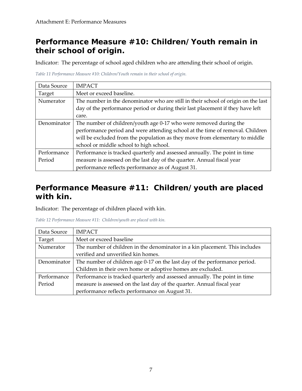#### **Performance Measure #10: Children/Youth remain in their school of origin.**

Indicator: The percentage of school aged children who are attending their school of origin.

|  |  |  | Table 11 Performance Measure #10: Children/Youth remain in their school of origin. |  |  |  |  |
|--|--|--|------------------------------------------------------------------------------------|--|--|--|--|
|  |  |  |                                                                                    |  |  |  |  |

| Data Source | <b>IMPACT</b>                                                                     |  |  |  |  |  |
|-------------|-----------------------------------------------------------------------------------|--|--|--|--|--|
| Target      | Meet or exceed baseline.                                                          |  |  |  |  |  |
| Numerator   | The number in the denominator who are still in their school of origin on the last |  |  |  |  |  |
|             | day of the performance period or during their last placement if they have left    |  |  |  |  |  |
|             | care.                                                                             |  |  |  |  |  |
| Denominator | The number of children/youth age 0-17 who were removed during the                 |  |  |  |  |  |
|             | performance period and were attending school at the time of removal. Children     |  |  |  |  |  |
|             | will be excluded from the population as they move from elementary to middle       |  |  |  |  |  |
|             | school or middle school to high school.                                           |  |  |  |  |  |
| Performance | Performance is tracked quarterly and assessed annually. The point in time         |  |  |  |  |  |
| Period      | measure is assessed on the last day of the quarter. Annual fiscal year            |  |  |  |  |  |
|             | performance reflects performance as of August 31.                                 |  |  |  |  |  |

#### <span id="page-8-0"></span>**Performance Measure #11: Children/youth are placed with kin.**

Indicator: The percentage of children placed with kin.

<span id="page-8-1"></span>

| Data Source | <b>IMPACT</b>                                                               |
|-------------|-----------------------------------------------------------------------------|
| Target      | Meet or exceed baseline                                                     |
| Numerator   | The number of children in the denominator in a kin placement. This includes |
|             | verified and unverified kin homes.                                          |
| Denominator | The number of children age 0-17 on the last day of the performance period.  |
|             | Children in their own home or adoptive homes are excluded.                  |
| Performance | Performance is tracked quarterly and assessed annually. The point in time   |
| Period      | measure is assessed on the last day of the quarter. Annual fiscal year      |
|             | performance reflects performance on August 31.                              |

*Table 12 Performance Measure #11: Children/youth are placed with kin.*